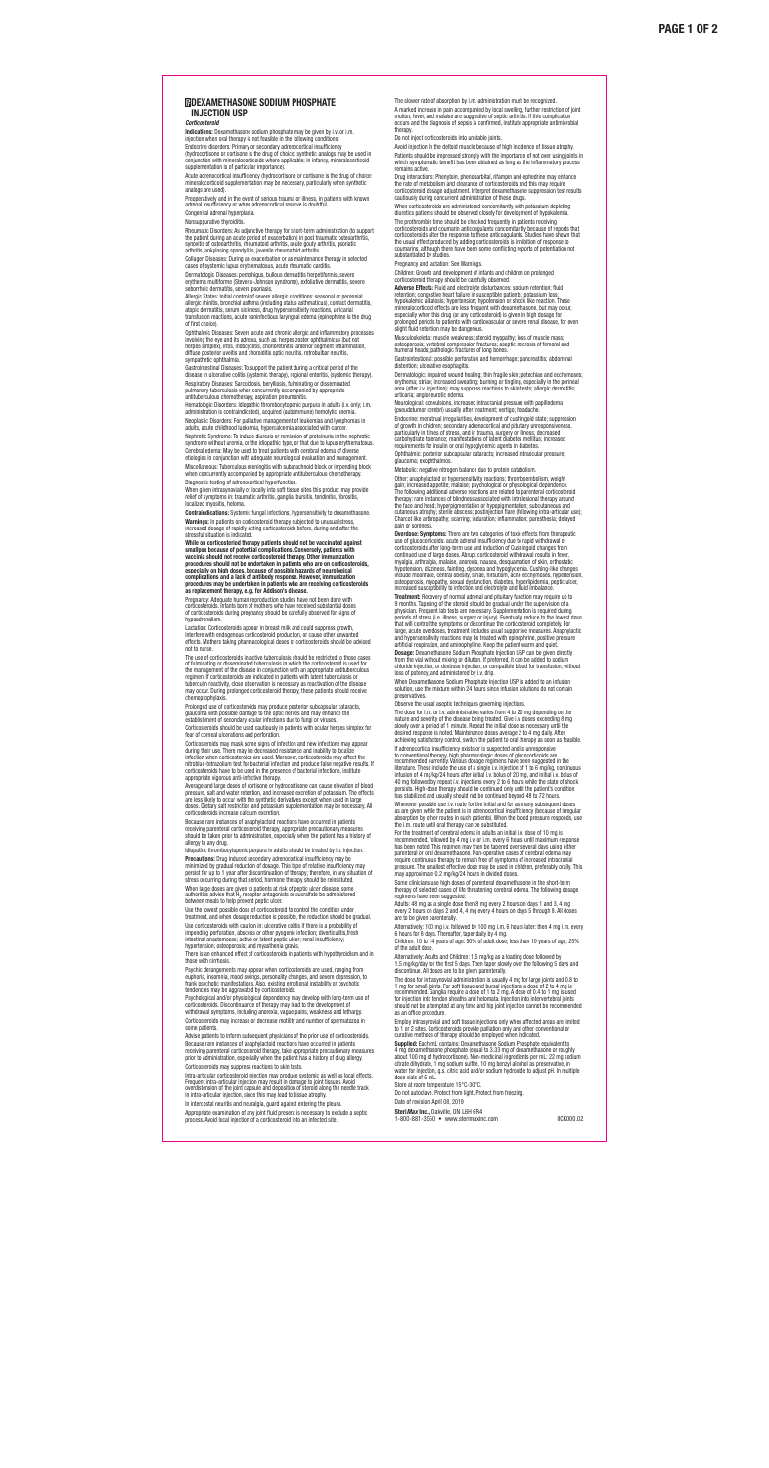## **DEXAMETHASONE SODIUM PHOSPHATE INJECTION USP**

## *Corticosteroid*

**Indications:** Dexamethasone sodium phosphate may be given by i.v. or i.m.<br>injection when oral therapy is not feasible in the following conditions:<br>Endocrine disorders: Primary or secondary adrenocortical insufficioncy<br>(hy

conjunction with mineralocorticoids where applicable; in infancy, mineralocorticoid supplementation is of particular importance). Acute adrenocortical insufficiency (hydrocortisone or cortisone is the drug of choice:

mineralocorticoid supplementation may be necessary, particularly when synthetic analogs are used).

Preoperatively and in the event of serious trauma or illness, in patients with known adrenal insufficiency or when adrenocortical reserve is doubtful.

Congenital adrenal hyperplasia.

Nonsuppurative thyroiditis.

Rheumatic Disorders: As adjunctive therapy for short-term administration (to support<br>the patient during an acute period of exacerbation) in post traumatic osteoratrintis,<br>synovitis of osteoarthritis, reunnatiod arthritis,

Dermatologic Diseases: pemphigus, bullous dermatitis herpetiformis, severe<br>erythema multiforme (Stevens-Johnson syndrome), exfoliative dermatitis, severe<br>seborrheic dermatitis, severe psoriasis.

Allergic States: Initial control of severe allergic conditions: seasonal or perennial<br>allergic rhinitis, bronchial asthma (including status asthmaticus), contact dermatitis,<br>atopic dermatitis, serum sickness, drug hypersen

of first choice).<br>Ophthalmic Diseases: Severe acute and chronic allergic and inflammatory processes<br>Unvolving the eye and its adnexa, such as: herpes zoster ophthalmicus (but not<br>herpes simplex), irtits, indooçcilits, chor sympathetic ophthalmia.

Nephrotic Syndrome: To induce diuresis or remission of proteinuria in the nephrotic<br>syndrome without uremia, or the idiopathic type, or that due to lupus erythematosus.<br>Cerebral edema: May be used to treat patients with ce Miscellaneous: Tuberculous meningitis with subarachnoid block or impending block when concurrently accompanied by appropriate antituberculous chemotherapy. Diagnostic testing of adrenocortical hyperfunction.

When given intrasynovially or locally into soft tissue sites this product may provide relief of symptoms in: traumatic arthritis, ganglia, bursitis, tendinitis, fibrositis, localized myositis, heloma.

**Contraindications:** Systemic fungal infections; hypersensitivity to dexamethasone. **Warnings:** In patients on corticosteroid therapy subjected to unusual stress,<br>increased dosage of rapidly acting corticosteroids before, during and after the<br>stressful situation is indicated.

While on cordicosteriod therapy patients should not be vaccinated against<br>smallpox because of potential complications. Conversely, patients with<br>vaccinia should not receive corticosteroid therapy. Other immunization<br>proced

Gastrointestinal Diseases: To support the patient during a critical period of the disease in ulcerative colitis (systemic therapy), regional enteritis, (systemic therapy). Respiratory Diseases: Sarcoidosis, berylliosis, fulminating or disseminated pulmonary tuberculosis when concurrently accompanied by appropriate antituberculous chemotherapy, aspiration pneumonitis.

Lactation: Corticosteroids appear in breast milk and could suppress growth,<br>interfere with endogenous corticosteroid production, or cause other unwanted<br>effects. Mothers taking pharmacological doses of corticosteroids shou not to nurse.

The use of corticosteroids in active tuberculosis should be restricted to those cases of fulminating or disseminated tuberculosis in which the corticosteroid is used for the management of the disease in conjunction with an appropriate antituberculous<br>regimen. If corticosteroids are indicated in patients with latent tuberculosis or<br>tuberculin reactivity, close observation is necessary as re

Prolonged use of corticosteroids may produce posterior subcapsular cataracts,<br>glaucoma with possible damage to the optic nerves and may enhance the<br>establishment of secondary ocular infections due to fungi or viruses.

Hematologic Disorders: Idiopathic thrombocytopenic purpura in adults (i.v. only; i.m. administration is contraindicated), acquired (autoimmune) hemolytic anemia. Neoplastic Disorders: For palliative management of leukemias and lymphomas in adults, acute childhood luekemia, hypercalcemia associated with cancer.

Corticosteroids may mask some signs of infection and new infections may appear<br>during their use. There may be decreased resistance and inability to localize<br>infection when corticosteroids are used. Moreover, corticosteroid corticosteroids have to be used in the presence of bacterial infections, institute appropriate vigorous anti-infective therapy.

Average and large doses of cortisone or hydrocortisone can cause elevation of blood<br>pressure, salt and water retention, and increased excretion of potassium. The effects<br>are less likely to occur with the synthetic derivati

Because rare instances of anaphylactoid reactions have occurred in patients<br>receiving parenteral corticosteroid therapy, appropriate precautionary measures<br>should be taken prior to administration, especially when the patie allergy to any drug.

Idiopathic thrombocytopenic purpura in adults should be treated by i.v. injection. **Precautions:** Drug induced secondary adrenocortical insufficiency may be minimized by gradual reduction of dosage. This type of relative insufficiency may<br>persist for up to 1 year after discontinuation of therapy; therefore, in any situation of<br>stress occurring during that period, hormone thera

Use corticosteroids with caution in: ulcerative colitis if there is a probability of<br>impending perforation, abocess or other pyogenic infection; diverticulitis,fresh<br>intestinal anastomoses; active or latent peptic ulcer; r There is an enhanced effect of corticosteroids in patients with hypothyroidism and in those with cirrhosis.

Psychic derangements may appear when corticosteroids are used, ranging from euphoria, insomnia, mood swings, personality changes, and severe depression, to<br>frank psychotic manifestations. Also, existing emotional instability or psychotic<br>tendencies may be aggravated by corticosteroids.

Psychological and/or physiological dependency may develop with long-term use of<br>corticosteroids. Discontinuance of therapy may lead to the development of<br>withdrawal symptoms, including anorexia, vague pains, weakness and l

Intra-articular corticosteroid injection may produce systemic as well as local effects.<br>Frequent intra-articular injection may result in damage to joint tissues. Avoid<br>overdistension of the joint capsule and deposition of in intra-articular injection, since this may lead to tissue atrophy.

Corticosteroids should be used cautiously in patients with ocular herpes simplex for fear of corneal ulcerations and perforation.

Neurological: convulsions, increased intracranial pressure with papilledema (pseudotumor cerebri) usually after treatment; vertigo; headache. Endocrine: menstrual irregularities, development of cushingoid state; suppression<br>of growth in children; secondary adrenocorbical and pituitary unresponsiveness,<br>particularly in times of stress, and in trauma, surgery or i

glaucoma; exoprimamios.<br>Metabolic: negative nitrogen balance due to protein catab

Other: anaphylactioid or hypersensitivity reactions; thromboemboisim, weight<br>gain; increased appetite; malaise; psychological or physiological dependence.<br>The following additional adverse reactions are related to parentera

pain or soreness.<br>**Overdose: Symptoms:** There are two categories of toxic effects from therapeutic<br>ouse of glucocorticoids: acute adrenal insufficiency due to rapid withdrawal of<br>corticosteroids after long-term use and ind

Advise patients to inform subsequent physicians of the prior use of corticosteroids. Because rare instances of anaphylactoid reactions have occurred in patients<br>receiving parenteral corticosteroid therapy, take appropriate precautionary measures<br>prior to administration, especially when the patient has a hi Corticosteroids may suppress reactions to skin tests.

> **Steri***Max* **Inc.,** Oakville, ON L6H 6R4 1-800-881-3550 • www.sterimaxinc.com IICK000.02

The slower rate of absorption by i.m. administration must be recognized. A marked increase in pain accompanied by local swelling, further restriction of joint motion, fever, and malaise are suggestive of septic arthritis. If this complication occurs and the diagnosis of sepsis is confirmed, institute appropriate antimicrobial therapy.

Do not inject corticosteroids into unstable joints.

Avoid injection in the deltoid muscle because of high incidence of tissue atrophy.<br>Patients should be impressed strongly with the importance of not over using joints in<br>which symptomatic benefit has been obtained as long a

Drug interactions: Phenytoin, phenobarbital, rifampin and ephedrine may enhance<br>the rate of metabolism and clearance of corticosteroids and this may require<br>corticosteroid dosage adjustment. Interpret dexamethasone suppres

When corticosteroids are administered concomitantly with potassium depleting diuretics patients should be observed closely for development of hypokalemia. The prothrombin time should be checked frequently in patients receiving<br>corticosteroids and coumarin anticoagulants concomitantly because of reports that<br>corticosteroids alter the response to these anticoagulants. Studies the usual effect produced by adding corticosteroids is inhibition of response to coumarins, although there have been some conflicting reports of potentiation not substantiated by studies.

Pregnancy and lactation: See Warnings.

Children: Growth and development of infants and children on prolonged corticosteroid therapy should be carefully observed.

**Adverse Effects:** Fluid and electrolyte disturbances: sodium retention; fluid<br>retention; congestive heart failure in susceptible patients; potassium loss;<br>hypokalemic alkalosis; hypertension; hypotension or shock like rea

especially when this drug (or any corticosteroid) is given in high dosage for<br>prolonged periods to patients with cardiovascular or severe renal disease, for even<br>slight fluid retention may be dangerous.<br>Musculoskeled: musc

distention; ulcerative esophagitis.

Dermatologic: impaired wound healing; thin fragile skin; petechiae and ecchymoses;<br>erythema; striae; increased sweating; burning or tingling, especially in the perineal<br>area (after i.v. injection); may suppress reactions t

**Treatment:** Recovery of normal adrenal and pituitary function may require up to 9 months. Tapering of the steriod should be gradual under the supervision of a<br>physician. Frequent lab tests are necessary. Supplementation is required during<br>periods of stress (i.e. illness, surgery or injury). Eventually and hypersensitivity reactions may be treated with epinephrine, positive pressure artificial respiration, and aminophylline. Keep the patient warm and quiet.

**Dosage:** Dexamethasone Sodium Phosphate Injection USP can be given directly<br>from the vial without mixing or dilution. If preferred, it can be added to sodium<br>chloride injection, or dextrose injection, or compatible blood

When Dexamethasone Sodium Phosphate Injection USP is added to an infusion solution, use the mixture within 24 hours since infusion solutions do not contain preservatives.

Observe the usual aseptic techniques governing injections.

The dose for i.m. or i.v. administration varies from 4 to 20 mg depending on the<br>nature and severity of the disease being treated. Give i.v. doses exceeding 8 mg<br>slowly over a period of 1 minute. Repeat the initial dose as desired response is noted. Maintenance doses average 2 to 4 mg daily. After achieving satisfactory control, switch the patient to oral therapy as soon as feasible. If adrenocortical insufficiency exists or is suspected and is unresponsive<br>to conventional therapy, high pharmacologic doses of glucocorticoids are<br>recommended currently. Various dosage regimens have been suggested in the<br>

40 mg followed by repeat i.v. injections every 2 to 6 hours while the state of shock<br>persists. High-dose therapy should be continued only until the patient's condition<br>has stabilized and usually should not be continued bey Whenever possible use i.v. route for the initial and for as many subsequent do

as are given while the patient is in adrenocortical insufficiency (because of irregular<br>absorption by other routes in such patients). When the blood pressure responds, use<br>the i.m. route until oral therapy can be substitut

For the treatment of cerebral edema in adults an initial is v. dose of 1 0 mg is<br>recommended, followed by 4 mg i.v. or i.m. every 6 hours until maximum response<br>has been noted. This regimen may then be tapered over several

Some clinicians use high doses of parenteral dexamethasone in the short-term therapy of selected cases of life threatening cerebral edema. The following dosage regimens have been suggested:

Adults: 48 mg as a single dose then 8 mg every 2 hours on days 1 and 3, 4 mg every 2 hours on days 2 and 4, 4 mg every 4 hours on days 5 through 8. All doses are to be given parenterally.

Alternatively: 100 mg i.v. followed by 100 mg i.m. 6 hours later: then 4 mg i.m. every 6 hours for 8 days. Thereafter, taper daily by 4 mg.

Children: 10 to 14 years of age: 50% of adult dose; less than 10 years of age; 25% of the adult dose.

Alternatively. Adults and Children: 1.5 mg/kg as a loading dose followed by<br>1.5 mg/kg/day for the first 5 days. Then taper slowly over the following 5 days and<br>discontinue. All doses are to be given parenterally.<br>The dose

as an office procedure

Employ intrasynovial and soft tissue injections only when affected areas are limited<br>to 1 or 2 sites. Corticosteroids provide palliation only and other conventional or<br>curative methods of therapy should be employed when in

**Supplied:** Each mL contains: Dexamethasons Sodium Phosphate equivalent to<br>4 mg dexamethasone phosphate lequal to 3.3 mg of dexamethasone or roughly<br>about 100 mg of hydrocortisone). Non-medicinal ingredients per mL: 22 mg

Store at room temperature 15°C-30°C. Do not autoclave. Protect from light. Protect from freezing.

Date of revision: April 08, 2019

In intercostal neuritis and neuralgia, guard against entering the pleura.<br>Appropriate examination of any joint fluid present is necessary to exclude a septic<br>process. Avoid local injection of a corticosteroid into an infec